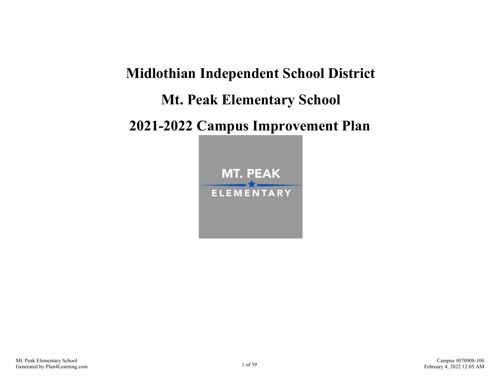# **Midlothian Independent School District Mt. Peak Elementary School 2021-2022 Campus Improvement Plan**

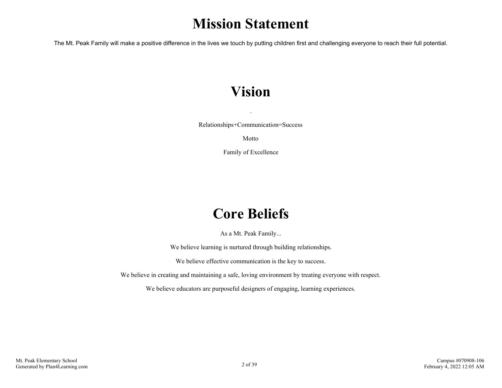# **Mission Statement**

The Mt. Peak Family will make a positive difference in the lives we touch by putting children first and challenging everyone to reach their full potential.

# **Vision**

Relationships+Communication=Success

.

Motto

Family of Excellence

# **Core Beliefs**

As a Mt. Peak Family...

We believe learning is nurtured through building relationships.

We believe effective communication is the key to success.

We believe in creating and maintaining a safe, loving environment by treating everyone with respect.

We believe educators are purposeful designers of engaging, learning experiences.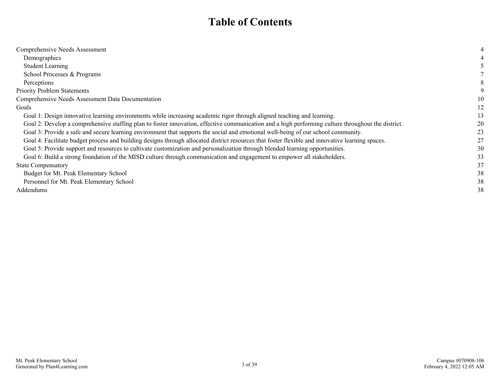### **Table of Contents**

| Comprehensive Needs Assessment                                                                                                                     |    |
|----------------------------------------------------------------------------------------------------------------------------------------------------|----|
| Demographics                                                                                                                                       |    |
| <b>Student Learning</b>                                                                                                                            |    |
| School Processes & Programs                                                                                                                        |    |
| Perceptions                                                                                                                                        |    |
| <b>Priority Problem Statements</b>                                                                                                                 |    |
| Comprehensive Needs Assessment Data Documentation                                                                                                  | 10 |
| Goals                                                                                                                                              | 12 |
| Goal 1: Design innovative learning environments while increasing academic rigor through aligned teaching and learning.                             | 13 |
| Goal 2: Develop a comprehensive staffing plan to foster innovation, effective communication and a high performing culture throughout the district. | 20 |
| Goal 3: Provide a safe and secure learning environment that supports the social and emotional well-being of our school community.                  | 23 |
| Goal 4: Facilitate budget process and building designs through allocated district resources that foster flexible and innovative learning spaces.   | 27 |
| Goal 5: Provide support and resources to cultivate customization and personalization through blended learning opportunities.                       | 30 |
| Goal 6: Build a strong foundation of the MISD culture through communication and engagement to empower all stakeholders.                            | 33 |
| <b>State Compensatory</b>                                                                                                                          | 37 |
| Budget for Mt. Peak Elementary School                                                                                                              | 38 |
| Personnel for Mt. Peak Elementary School                                                                                                           | 38 |
| Addendums                                                                                                                                          | 38 |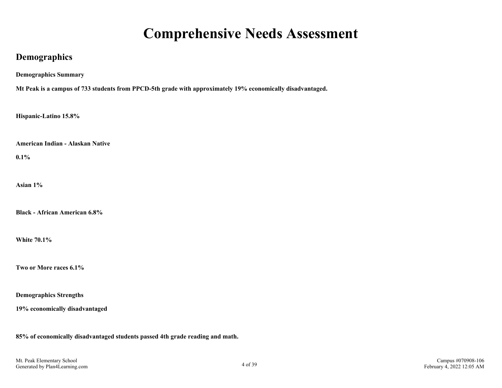### **Comprehensive Needs Assessment**

### <span id="page-3-0"></span>**Demographics**

**Demographics Summary**

**Mt Peak is a campus of 733 students from PPCD-5th grade with approximately 19% economically disadvantaged.**

**Hispanic-Latino 15.8%**

**American Indian - Alaskan Native**

**0.1%**

**Asian 1%**

**Black - African American 6.8%**

**White 70.1%**

**Two or More races 6.1%**

**Demographics Strengths**

**19% economically disadvantaged**

**85% of economically disadvantaged students passed 4th grade reading and math.**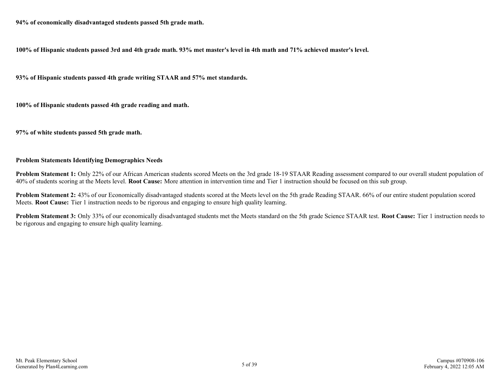**94% of economically disadvantaged students passed 5th grade math.**

**100% of Hispanic students passed 3rd and 4th grade math. 93% met master's level in 4th math and 71% achieved master's level.** 

**93% of Hispanic students passed 4th grade writing STAAR and 57% met standards.** 

**100% of Hispanic students passed 4th grade reading and math.**

**97% of white students passed 5th grade math.**

#### **Problem Statements Identifying Demographics Needs**

**Problem Statement 1:** Only 22% of our African American students scored Meets on the 3rd grade 18-19 STAAR Reading assessment compared to our overall student population of 40% of students scoring at the Meets level. **Root Cause:** More attention in intervention time and Tier 1 instruction should be focused on this sub group.

**Problem Statement 2:** 43% of our Economically disadvantaged students scored at the Meets level on the 5th grade Reading STAAR. 66% of our entire student population scored Meets. **Root Cause:** Tier 1 instruction needs to be rigorous and engaging to ensure high quality learning.

**Problem Statement 3:** Only 33% of our economically disadvantaged students met the Meets standard on the 5th grade Science STAAR test. **Root Cause:** Tier 1 instruction needs to be rigorous and engaging to ensure high quality learning.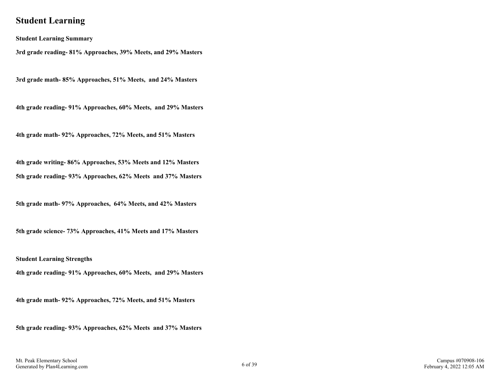### <span id="page-5-0"></span>**Student Learning**

**Student Learning Summary**

**3rd grade reading- 81% Approaches, 39% Meets, and 29% Masters**

**3rd grade math- 85% Approaches, 51% Meets, and 24% Masters**

**4th grade reading- 91% Approaches, 60% Meets, and 29% Masters**

**4th grade math- 92% Approaches, 72% Meets, and 51% Masters**

**4th grade writing- 86% Approaches, 53% Meets and 12% Masters 5th grade reading- 93% Approaches, 62% Meets and 37% Masters**

**5th grade math- 97% Approaches, 64% Meets, and 42% Masters**

**5th grade science- 73% Approaches, 41% Meets and 17% Masters**

**Student Learning Strengths**

**4th grade reading- 91% Approaches, 60% Meets, and 29% Masters**

**4th grade math- 92% Approaches, 72% Meets, and 51% Masters**

**5th grade reading- 93% Approaches, 62% Meets and 37% Masters**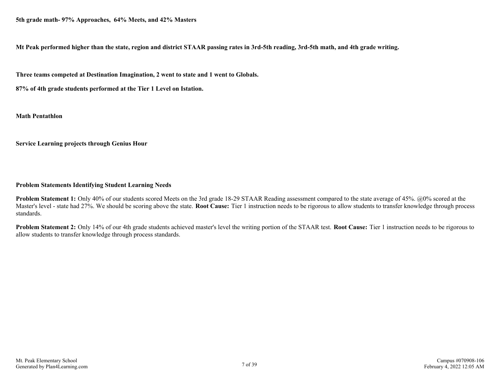**Mt Peak performed higher than the state, region and district STAAR passing rates in 3rd-5th reading, 3rd-5th math, and 4th grade writing.**

**Three teams competed at Destination Imagination, 2 went to state and 1 went to Globals.**

**87% of 4th grade students performed at the Tier 1 Level on Istation.** 

**Math Pentathlon**

**Service Learning projects through Genius Hour**

#### **Problem Statements Identifying Student Learning Needs**

**Problem Statement 1:** Only 40% of our students scored Meets on the 3rd grade 18-29 STAAR Reading assessment compared to the state average of 45%. @0% scored at the Master's level - state had 27%. We should be scoring above the state. **Root Cause:** Tier 1 instruction needs to be rigorous to allow students to transfer knowledge through process standards.

**Problem Statement 2:** Only 14% of our 4th grade students achieved master's level the writing portion of the STAAR test. **Root Cause:** Tier 1 instruction needs to be rigorous to allow students to transfer knowledge through process standards.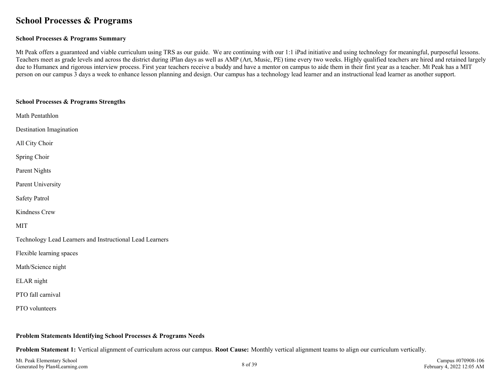### <span id="page-7-0"></span>**School Processes & Programs**

#### **School Processes & Programs Summary**

Mt Peak offers a guaranteed and viable curriculum using TRS as our guide. We are continuing with our 1:1 iPad initiative and using technology for meaningful, purposeful lessons. Teachers meet as grade levels and across the district during iPlan days as well as AMP (Art, Music, PE) time every two weeks. Highly qualified teachers are hired and retained largely due to Humanex and rigorous interview process. First year teachers receive a buddy and have a mentor on campus to aide them in their first year as a teacher. Mt Peak has a MIT person on our campus 3 days a week to enhance lesson planning and design. Our campus has a technology lead learner and an instructional lead learner as another support.

| <b>School Processes &amp; Programs Strengths</b>         |
|----------------------------------------------------------|
| Math Pentathlon                                          |
| Destination Imagination                                  |
| All City Choir                                           |
| Spring Choir                                             |
| Parent Nights                                            |
| Parent University                                        |
| Safety Patrol                                            |
| Kindness Crew                                            |
| <b>MIT</b>                                               |
| Technology Lead Learners and Instructional Lead Learners |
| Flexible learning spaces                                 |
| Math/Science night                                       |
| ELAR night                                               |
| PTO fall carnival                                        |
| PTO volunteers                                           |
|                                                          |

#### **Problem Statements Identifying School Processes & Programs Needs**

**Problem Statement 1:** Vertical alignment of curriculum across our campus. **Root Cause:** Monthly vertical alignment teams to align our curriculum vertically.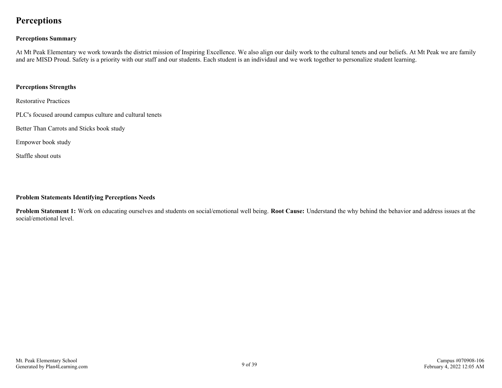### <span id="page-8-0"></span>**Perceptions**

#### **Perceptions Summary**

At Mt Peak Elementary we work towards the district mission of Inspiring Excellence. We also align our daily work to the cultural tenets and our beliefs. At Mt Peak we are family and are MISD Proud. Safety is a priority with our staff and our students. Each student is an individaul and we work together to personalize student learning.

#### **Perceptions Strengths**

Restorative Practices

PLC's focused around campus culture and cultural tenets

Better Than Carrots and Sticks book study

Empower book study

Staffle shout outs

#### **Problem Statements Identifying Perceptions Needs**

**Problem Statement 1:** Work on educating ourselves and students on social/emotional well being. **Root Cause:** Understand the why behind the behavior and address issues at the social/emotional level.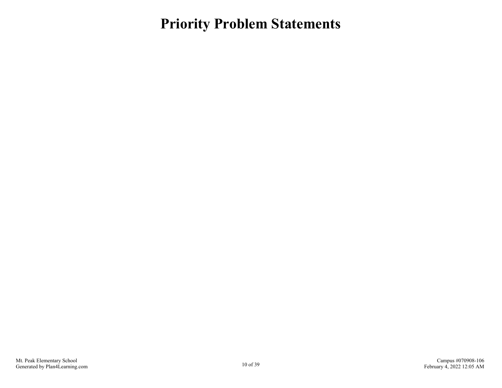<span id="page-9-0"></span>**Priority Problem Statements**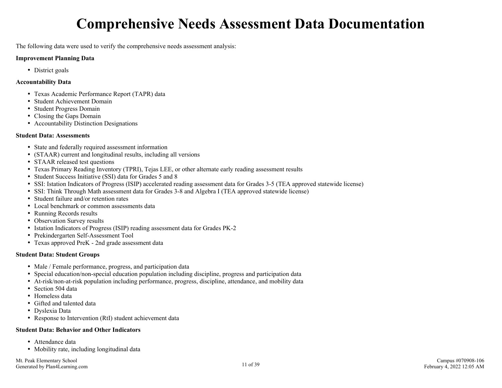# **Comprehensive Needs Assessment Data Documentation**

<span id="page-10-0"></span>The following data were used to verify the comprehensive needs assessment analysis:

#### **Improvement Planning Data**

• District goals

#### **Accountability Data**

- Texas Academic Performance Report (TAPR) data
- Student Achievement Domain
- Student Progress Domain
- Closing the Gaps Domain
- Accountability Distinction Designations

#### **Student Data: Assessments**

- State and federally required assessment information
- (STAAR) current and longitudinal results, including all versions
- STAAR released test questions
- Texas Primary Reading Inventory (TPRI), Tejas LEE, or other alternate early reading assessment results
- Student Success Initiative (SSI) data for Grades 5 and 8
- SSI: Istation Indicators of Progress (ISIP) accelerated reading assessment data for Grades 3-5 (TEA approved statewide license)
- SSI: Think Through Math assessment data for Grades 3-8 and Algebra I (TEA approved statewide license)
- Student failure and/or retention rates
- Local benchmark or common assessments data
- Running Records results
- Observation Survey results
- Istation Indicators of Progress (ISIP) reading assessment data for Grades PK-2
- Prekindergarten Self-Assessment Tool
- Texas approved PreK 2nd grade assessment data

#### **Student Data: Student Groups**

- Male / Female performance, progress, and participation data
- Special education/non-special education population including discipline, progress and participation data
- At-risk/non-at-risk population including performance, progress, discipline, attendance, and mobility data
- Section 504 data
- Homeless data
- Gifted and talented data
- Dyslexia Data
- Response to Intervention (RtI) student achievement data

#### **Student Data: Behavior and Other Indicators**

- Attendance data
- Mobility rate, including longitudinal data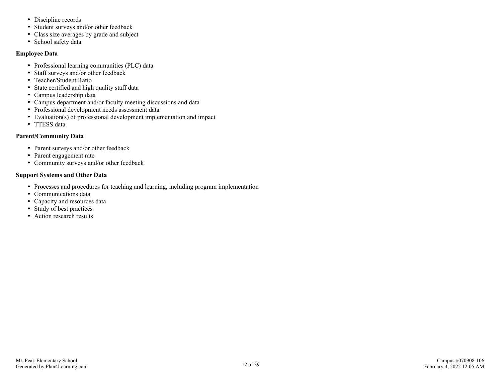- Discipline records
- Student surveys and/or other feedback
- Class size averages by grade and subject
- School safety data

#### **Employee Data**

- Professional learning communities (PLC) data
- Staff surveys and/or other feedback
- Teacher/Student Ratio
- State certified and high quality staff data
- Campus leadership data
- Campus department and/or faculty meeting discussions and data
- Professional development needs assessment data
- Evaluation(s) of professional development implementation and impact
- TTESS data

#### **Parent/Community Data**

- Parent surveys and/or other feedback
- Parent engagement rate
- Community surveys and/or other feedback

#### **Support Systems and Other Data**

- Processes and procedures for teaching and learning, including program implementation
- Communications data
- Capacity and resources data
- Study of best practices
- Action research results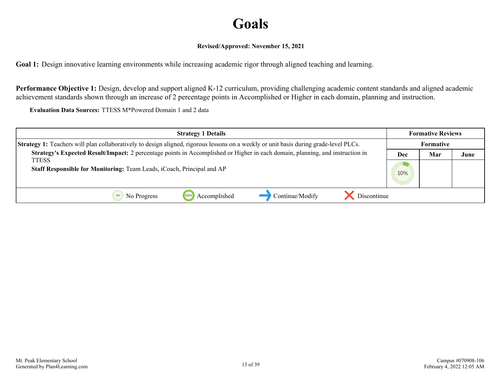# **Goals**

#### **Revised/Approved: November 15, 2021**

<span id="page-12-0"></span>**Goal 1:** Design innovative learning environments while increasing academic rigor through aligned teaching and learning.

**Performance Objective 1:** Design, develop and support aligned K-12 curriculum, providing challenging academic content standards and aligned academic achievement standards shown through an increase of 2 percentage points in Accomplished or Higher in each domain, planning and instruction.

**Evaluation Data Sources:** TTESS M\*Powered Domain 1 and 2 data

| <b>Strategy 1 Details</b>                                                                                                             |            | <b>Formative Reviews</b> |      |
|---------------------------------------------------------------------------------------------------------------------------------------|------------|--------------------------|------|
| Strategy 1: Teachers will plan collaboratively to design aligned, rigorous lessons on a weekly or unit basis during grade-level PLCs. |            | <b>Formative</b>         |      |
| Strategy's Expected Result/Impact: 2 percentage points in Accomplished or Higher in each domain, planning, and instruction in         | Mar<br>Dec |                          | June |
| <b>TTESS</b>                                                                                                                          |            |                          |      |
| Staff Responsible for Monitoring: Team Leads, iCoach, Principal and AP                                                                | 10%        |                          |      |
|                                                                                                                                       |            |                          |      |
| Continue/Modify<br>Discontinue<br>Accomplished<br>No Progress                                                                         |            |                          |      |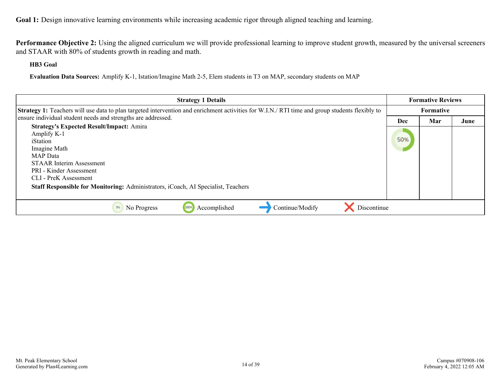**Performance Objective 2:** Using the aligned curriculum we will provide professional learning to improve student growth, measured by the universal screeners and STAAR with 80% of students growth in reading and math.

**HB3 Goal**

**Evaluation Data Sources:** Amplify K-1, Istation/Imagine Math 2-5, Elem students in T3 on MAP, secondary students on MAP

| <b>Strategy 1 Details</b>                                                                                                                                                                                                                                                                 |     | <b>Formative Reviews</b> |      |
|-------------------------------------------------------------------------------------------------------------------------------------------------------------------------------------------------------------------------------------------------------------------------------------------|-----|--------------------------|------|
| <b>Strategy 1:</b> Teachers will use data to plan targeted intervention and enrichment activities for W.I.N./ RTI time and group students flexibly to                                                                                                                                     |     | Formative                |      |
| ensure individual student needs and strengths are addressed.                                                                                                                                                                                                                              | Dec | Mar                      | June |
| <b>Strategy's Expected Result/Impact: Amira</b><br>Amplify K-1<br>iStation<br>Imagine Math<br><b>MAP</b> Data<br><b>STAAR Interim Assessment</b><br>PRI - Kinder Assessment<br>CLI - PreK Assessment<br>Staff Responsible for Monitoring: Administrators, iCoach, AI Specialist, Teachers | 50% |                          |      |
|                                                                                                                                                                                                                                                                                           |     |                          |      |
| Continue/Modify<br>Discontinue<br>Accomplished<br>0%<br>No Progress<br>100%                                                                                                                                                                                                               |     |                          |      |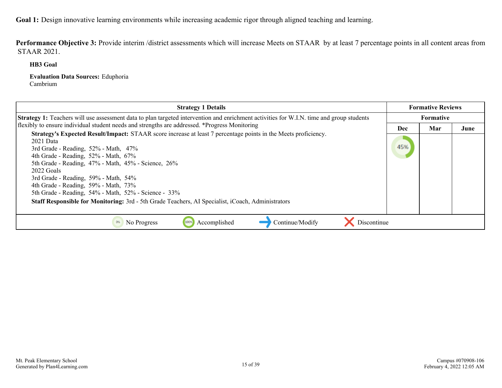Performance Objective 3: Provide interim /district assessments which will increase Meets on STAAR by at least 7 percentage points in all content areas from STAAR 2021.

**HB3 Goal**

**Evaluation Data Sources:** Eduphoria Cambrium

| <b>Strategy 1 Details</b>                                                                                                                                                                                                                                                                                                                                                                                                      |     | <b>Formative Reviews</b> |      |
|--------------------------------------------------------------------------------------------------------------------------------------------------------------------------------------------------------------------------------------------------------------------------------------------------------------------------------------------------------------------------------------------------------------------------------|-----|--------------------------|------|
| Strategy 1: Teachers will use assessment data to plan targeted intervention and enrichment activities for W.I.N. time and group students                                                                                                                                                                                                                                                                                       |     | Formative                |      |
| flexibly to ensure individual student needs and strengths are addressed. *Progress Monitoring                                                                                                                                                                                                                                                                                                                                  | Dec | Mar                      | June |
| Strategy's Expected Result/Impact: STAAR score increase at least 7 percentage points in the Meets proficiency.<br>2021 Data<br>3rd Grade - Reading, $52\%$ - Math, $47\%$<br>4th Grade - Reading, 52% - Math, 67%<br>5th Grade - Reading, 47% - Math, 45% - Science, 26%<br>2022 Goals<br>3rd Grade - Reading, 59% - Math, 54%<br>4th Grade - Reading, 59% - Math, 73%<br>5th Grade - Reading, 54% - Math, 52% - Science - 33% | 45% |                          |      |
| Staff Responsible for Monitoring: 3rd - 5th Grade Teachers, AI Specialist, iCoach, Administrators                                                                                                                                                                                                                                                                                                                              |     |                          |      |
| Accomplished<br>Continue/Modify<br>Discontinue<br>No Progress<br>100%<br>0%                                                                                                                                                                                                                                                                                                                                                    |     |                          |      |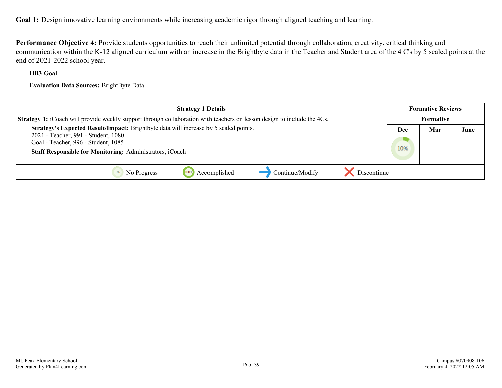**Performance Objective 4:** Provide students opportunities to reach their unlimited potential through collaboration, creativity, critical thinking and communication within the K-12 aligned curriculum with an increase in the Brightbyte data in the Teacher and Student area of the 4 C's by 5 scaled points at the end of 2021-2022 school year.

#### **HB3 Goal**

**Evaluation Data Sources:** BrightByte Data

| <b>Strategy 1 Details</b>                                                                                                      |           | <b>Formative Reviews</b> |      |
|--------------------------------------------------------------------------------------------------------------------------------|-----------|--------------------------|------|
| <b>Strategy 1:</b> iCoach will provide weekly support through collaboration with teachers on lesson design to include the 4Cs. | Formative |                          |      |
| Strategy's Expected Result/Impact: Brightbyte data will increase by 5 scaled points.                                           | Dec       | Mar                      | June |
| 2021 - Teacher, 991 - Student, 1080<br>Goal - Teacher, 996 - Student, 1085                                                     |           |                          |      |
| Staff Responsible for Monitoring: Administrators, iCoach                                                                       | 10%       |                          |      |
|                                                                                                                                |           |                          |      |
| Continue/Modify<br>Discontinue<br>Accomplished<br>No Progress                                                                  |           |                          |      |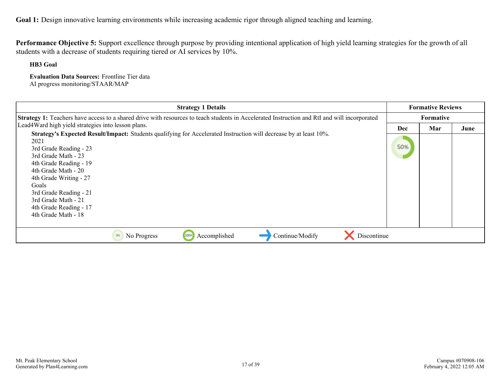**Performance Objective 5:** Support excellence through purpose by providing intentional application of high yield learning strategies for the growth of all students with a decrease of students requiring tiered or AI services by 10%.

**HB3 Goal**

**Evaluation Data Sources:** Frontline Tier data AI progress monitoring/STAAR/MAP

| <b>Strategy 1 Details</b>                                                                                                                    |     | <b>Formative Reviews</b> |      |
|----------------------------------------------------------------------------------------------------------------------------------------------|-----|--------------------------|------|
| Strategy 1: Teachers have access to a shared drive with resources to teach students in Accelerated Instruction and RtI and will incorporated |     | <b>Formative</b>         |      |
| Lead4Ward high yield strategies into lesson plans.                                                                                           | Dec | Mar                      | June |
| Strategy's Expected Result/Impact: Students qualifying for Accelerated Instruction will decrease by at least 10%.                            |     |                          |      |
| 2021                                                                                                                                         |     |                          |      |
| 3rd Grade Reading - 23                                                                                                                       | 50% |                          |      |
| 3rd Grade Math - 23                                                                                                                          |     |                          |      |
| 4th Grade Reading - 19                                                                                                                       |     |                          |      |
| 4th Grade Math - 20                                                                                                                          |     |                          |      |
| 4th Grade Writing - 27                                                                                                                       |     |                          |      |
| Goals                                                                                                                                        |     |                          |      |
| 3rd Grade Reading - 21                                                                                                                       |     |                          |      |
| 3rd Grade Math - 21                                                                                                                          |     |                          |      |
| 4th Grade Reading - 17                                                                                                                       |     |                          |      |
| 4th Grade Math - 18                                                                                                                          |     |                          |      |
|                                                                                                                                              |     |                          |      |
| Accomplished<br>Continue/Modify<br>Discontinue<br>No Progress<br>100%<br>0%                                                                  |     |                          |      |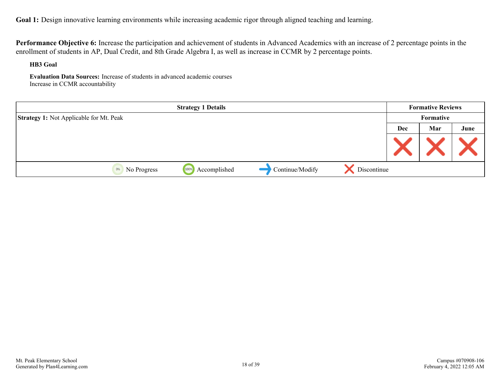**Performance Objective 6:** Increase the participation and achievement of students in Advanced Academics with an increase of 2 percentage points in the enrollment of students in AP, Dual Credit, and 8th Grade Algebra I, as well as increase in CCMR by 2 percentage points.

**HB3 Goal**

**Evaluation Data Sources:** Increase of students in advanced academic courses Increase in CCMR accountability

|                                                | <b>Strategy 1 Details</b> |                 |             | <b>Formative Reviews</b> |           |      |
|------------------------------------------------|---------------------------|-----------------|-------------|--------------------------|-----------|------|
| <b>Strategy 1:</b> Not Applicable for Mt. Peak |                           |                 |             |                          | Formative |      |
|                                                |                           |                 |             | Dec                      | Mar       | June |
|                                                |                           |                 |             |                          |           |      |
| 0%<br>No Progress                              | Accomplished<br>100%      | Continue/Modify | Discontinue |                          |           |      |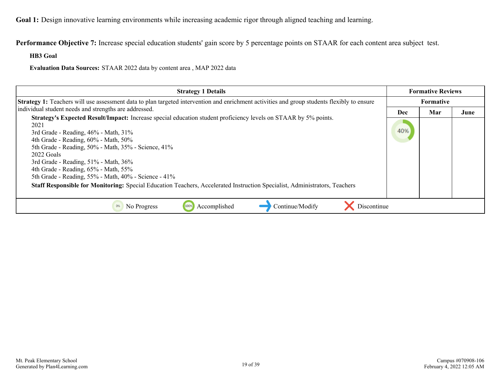**Performance Objective 7:** Increase special education students' gain score by 5 percentage points on STAAR for each content area subject test.

**HB3 Goal**

**Evaluation Data Sources:** STAAR 2022 data by content area , MAP 2022 data

| <b>Strategy 1 Details</b>                                                                                                                                                                                                                                                                                                                                                                                                                                                                                                                          |     | <b>Formative Reviews</b> |      |
|----------------------------------------------------------------------------------------------------------------------------------------------------------------------------------------------------------------------------------------------------------------------------------------------------------------------------------------------------------------------------------------------------------------------------------------------------------------------------------------------------------------------------------------------------|-----|--------------------------|------|
| <b>Strategy 1:</b> Teachers will use assessment data to plan targeted intervention and enrichment activities and group students flexibly to ensure                                                                                                                                                                                                                                                                                                                                                                                                 |     | Formative                |      |
| individual student needs and strengths are addressed.                                                                                                                                                                                                                                                                                                                                                                                                                                                                                              | Dec | Mar                      | June |
| Strategy's Expected Result/Impact: Increase special education student proficiency levels on STAAR by 5% points.<br>2021<br>3rd Grade - Reading, 46% - Math, 31%<br>4th Grade - Reading, 60% - Math, 50%<br>5th Grade - Reading, 50% - Math, 35% - Science, 41%<br>2022 Goals<br>3rd Grade - Reading, 51% - Math, 36%<br>4th Grade - Reading, 65% - Math, 55%<br>5th Grade - Reading, 55% - Math, 40% - Science - 41%<br>Staff Responsible for Monitoring: Special Education Teachers, Accelerated Instruction Specialist, Administrators, Teachers | 40% |                          |      |
| Discontinue<br>Accomplished<br>Continue/Modify<br>No Progress<br>100%                                                                                                                                                                                                                                                                                                                                                                                                                                                                              |     |                          |      |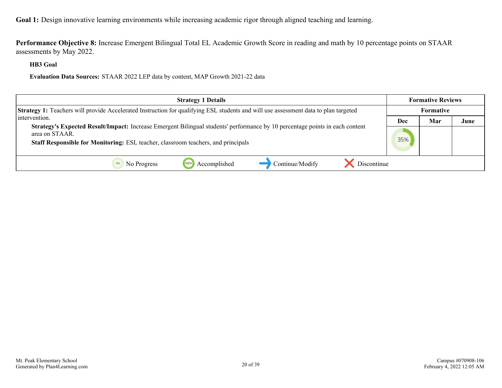**Performance Objective 8:** Increase Emergent Bilingual Total EL Academic Growth Score in reading and math by 10 percentage points on STAAR assessments by May 2022.

**HB3 Goal**

**Evaluation Data Sources:** STAAR 2022 LEP data by content, MAP Growth 2021-22 data

| <b>Strategy 1 Details</b>                                                                                                                             |           | <b>Formative Reviews</b> |      |
|-------------------------------------------------------------------------------------------------------------------------------------------------------|-----------|--------------------------|------|
| <b>Strategy 1:</b> Teachers will provide Accelerated Instruction for qualifying ESL students and will use assessment data to plan targeted            | Formative |                          |      |
| intervention.                                                                                                                                         | Dec       | Mar                      | June |
| <b>Strategy's Expected Result/Impact:</b> Increase Emergent Bilingual students' performance by 10 percentage points in each content<br>area on STAAR. | 35%       |                          |      |
| Staff Responsible for Monitoring: ESL teacher, classroom teachers, and principals                                                                     |           |                          |      |
| Continue/Modify<br>Accomplished<br>Discontinue<br>1009<br>No Progress                                                                                 |           |                          |      |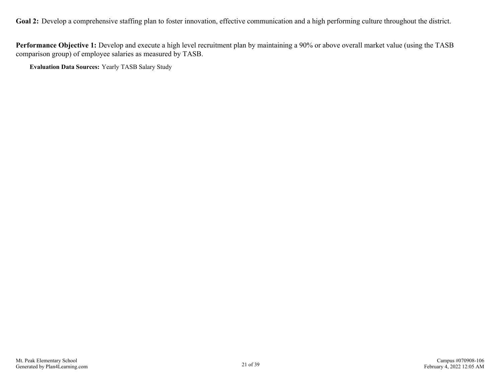<span id="page-20-0"></span>Goal 2: Develop a comprehensive staffing plan to foster innovation, effective communication and a high performing culture throughout the district.

**Performance Objective 1:** Develop and execute a high level recruitment plan by maintaining a 90% or above overall market value (using the TASB comparison group) of employee salaries as measured by TASB.

**Evaluation Data Sources:** Yearly TASB Salary Study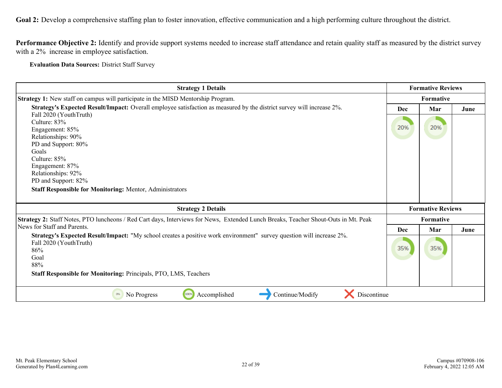**Goal 2:** Develop a comprehensive staffing plan to foster innovation, effective communication and a high performing culture throughout the district.

**Performance Objective 2:** Identify and provide support systems needed to increase staff attendance and retain quality staff as measured by the district survey with a 2% increase in employee satisfaction.

**Evaluation Data Sources:** District Staff Survey

| <b>Strategy 1 Details</b>                                                                                                          |            | <b>Formative Reviews</b> |      |
|------------------------------------------------------------------------------------------------------------------------------------|------------|--------------------------|------|
| Strategy 1: New staff on campus will participate in the MISD Mentorship Program.                                                   | Formative  |                          |      |
| Strategy's Expected Result/Impact: Overall employee satisfaction as measured by the district survey will increase 2%.              | <b>Dec</b> | Mar                      | June |
| Fall 2020 (YouthTruth)<br>Culture: 83%                                                                                             |            |                          |      |
| Engagement: 85%                                                                                                                    | 20%        | 20%                      |      |
| Relationships: 90%                                                                                                                 |            |                          |      |
| PD and Support: 80%                                                                                                                |            |                          |      |
| Goals                                                                                                                              |            |                          |      |
| Culture: 85%                                                                                                                       |            |                          |      |
| Engagement: 87%                                                                                                                    |            |                          |      |
| Relationships: 92%                                                                                                                 |            |                          |      |
| PD and Support: 82%                                                                                                                |            |                          |      |
| <b>Staff Responsible for Monitoring: Mentor, Administrators</b>                                                                    |            |                          |      |
|                                                                                                                                    |            |                          |      |
| <b>Strategy 2 Details</b>                                                                                                          |            | <b>Formative Reviews</b> |      |
| Strategy 2: Staff Notes, PTO luncheons / Red Cart days, Interviews for News, Extended Lunch Breaks, Teacher Shout-Outs in Mt. Peak |            | Formative                |      |
| News for Staff and Parents.                                                                                                        | <b>Dec</b> | Mar                      | June |
| Strategy's Expected Result/Impact: "My school creates a positive work environment" survey question will increase 2%.               |            |                          |      |
| Fall 2020 (YouthTruth)                                                                                                             |            |                          |      |
| 86%                                                                                                                                | 35%        | 35%                      |      |
| Goal                                                                                                                               |            |                          |      |
| 88%                                                                                                                                |            |                          |      |
| <b>Staff Responsible for Monitoring: Principals, PTO, LMS, Teachers</b>                                                            |            |                          |      |
|                                                                                                                                    |            |                          |      |
| 100%<br>Accomplished<br>Continue/Modify<br>No Progress<br>Discontinue<br>0%                                                        |            |                          |      |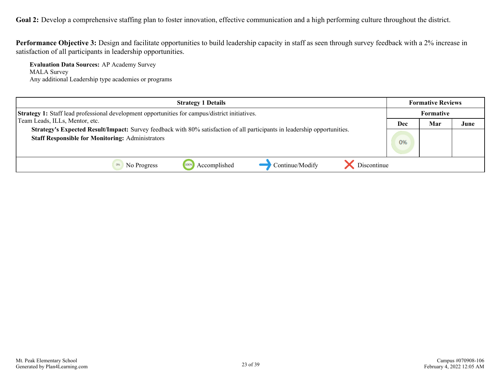Goal 2: Develop a comprehensive staffing plan to foster innovation, effective communication and a high performing culture throughout the district.

**Performance Objective 3:** Design and facilitate opportunities to build leadership capacity in staff as seen through survey feedback with a 2% increase in satisfaction of all participants in leadership opportunities.

**Evaluation Data Sources:** AP Academy Survey MALA Survey Any additional Leadership type academies or programs

| <b>Strategy 1 Details</b>                                                                                                                                                            |     | <b>Formative Reviews</b> |      |
|--------------------------------------------------------------------------------------------------------------------------------------------------------------------------------------|-----|--------------------------|------|
| <b>Strategy 1:</b> Staff lead professional development opportunities for campus/district initiatives.                                                                                |     | Formative                |      |
| Team Leads, ILLs, Mentor, etc.                                                                                                                                                       | Dec | Mar                      | June |
| Strategy's Expected Result/Impact: Survey feedback with 80% satisfaction of all participants in leadership opportunities.<br><b>Staff Responsible for Monitoring: Administrators</b> | 0%  |                          |      |
| Discontinue<br>Continue/Modify<br>Accomplished<br>No Progress                                                                                                                        |     |                          |      |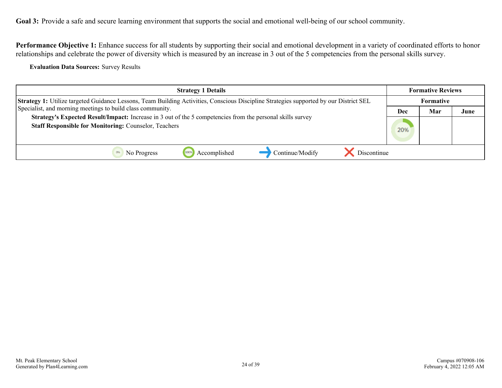<span id="page-23-0"></span>Performance Objective 1: Enhance success for all students by supporting their social and emotional development in a variety of coordinated efforts to honor relationships and celebrate the power of diversity which is measured by an increase in 3 out of the 5 competencies from the personal skills survey.

**Evaluation Data Sources:** Survey Results

| <b>Strategy 1 Details</b>                                                                                                                                                                                                                                                                                                                                                                 | <b>Formative Reviews</b> |                  |      |  |
|-------------------------------------------------------------------------------------------------------------------------------------------------------------------------------------------------------------------------------------------------------------------------------------------------------------------------------------------------------------------------------------------|--------------------------|------------------|------|--|
| Strategy 1: Utilize targeted Guidance Lessons, Team Building Activities, Conscious Discipline Strategies supported by our District SEL<br>Specialist, and morning meetings to build class community.<br><b>Strategy's Expected Result/Impact:</b> Increase in 3 out of the 5 competencies from the personal skills survey<br><b>Staff Responsible for Monitoring: Counselor, Teachers</b> |                          | <b>Formative</b> |      |  |
|                                                                                                                                                                                                                                                                                                                                                                                           |                          | Mar              | June |  |
|                                                                                                                                                                                                                                                                                                                                                                                           |                          |                  |      |  |
| Discontinue<br>Continue/Modify<br>Accomplished<br>1009<br>No Progress                                                                                                                                                                                                                                                                                                                     |                          |                  |      |  |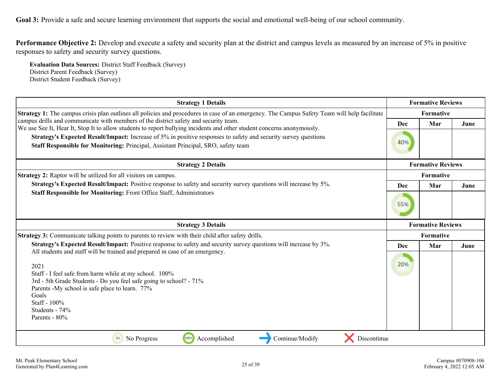**Performance Objective 2:** Develop and execute a safety and security plan at the district and campus levels as measured by an increase of 5% in positive responses to safety and security survey questions.

**Evaluation Data Sources:** District Staff Feedback (Survey) District Parent Feedback (Survey) District Student Feedback (Survey)

| <b>Strategy 1 Details</b>                                                                                                                                                                                                                                                                                                          | <b>Formative Reviews</b> |                          |      |  |
|------------------------------------------------------------------------------------------------------------------------------------------------------------------------------------------------------------------------------------------------------------------------------------------------------------------------------------|--------------------------|--------------------------|------|--|
| Strategy 1: The campus crisis plan outlines all policies and procedures in case of an emergency. The Campus Safety Team will help facilitate                                                                                                                                                                                       |                          | Formative                |      |  |
| campus drills and communicate with members of the district safety and security team.<br>We use See It, Hear It, Stop It to allow students to report bullying incidents and other student concerns anonymously.                                                                                                                     | Dec                      | Mar                      | June |  |
| Strategy's Expected Result/Impact: Increase of 5% in positive responses to safety and security survey questions<br>Staff Responsible for Monitoring: Principal, Assistant Principal, SRO, safety team                                                                                                                              | 40%                      |                          |      |  |
| <b>Strategy 2 Details</b>                                                                                                                                                                                                                                                                                                          |                          | <b>Formative Reviews</b> |      |  |
| <b>Strategy 2:</b> Raptor will be utilized for all visitors on campus.                                                                                                                                                                                                                                                             |                          | Formative                |      |  |
| Strategy's Expected Result/Impact: Positive response to safety and security survey questions will increase by 5%.                                                                                                                                                                                                                  | <b>Dec</b>               | Mar                      | June |  |
| Staff Responsible for Monitoring: Front Office Staff, Administrators                                                                                                                                                                                                                                                               |                          |                          |      |  |
| <b>Strategy 3 Details</b>                                                                                                                                                                                                                                                                                                          |                          | <b>Formative Reviews</b> |      |  |
| Strategy 3: Communicate talking points to parents to review with their child after safety drills.                                                                                                                                                                                                                                  | Formative                |                          |      |  |
| Strategy's Expected Result/Impact: Positive response to safety and security survey questions will increase by 3%.                                                                                                                                                                                                                  | Dec                      | Mar                      | June |  |
| All students and staff will be trained and prepared in case of an emergency.<br>2021<br>Staff - I feel safe from harm while at my school. 100%<br>3rd - 5th Grade Students - Do you feel safe going to school? - 71%<br>Parents -My school is safe place to learn. 77%<br>Goals<br>Staff - 100%<br>Students - 74%<br>Parents - 80% | 20%                      |                          |      |  |
| 100%<br>Continue/Modify<br>No Progress<br>Accomplished<br>Discontinue<br>0%                                                                                                                                                                                                                                                        |                          |                          |      |  |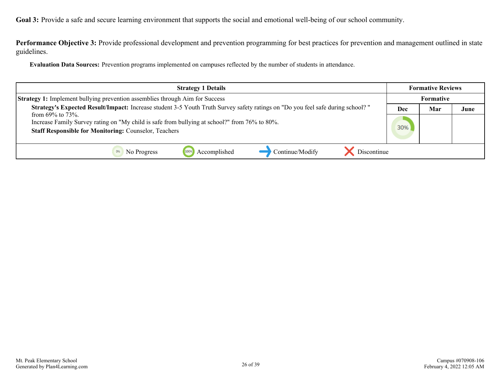**Performance Objective 3:** Provide professional development and prevention programming for best practices for prevention and management outlined in state guidelines.

**Evaluation Data Sources:** Prevention programs implemented on campuses reflected by the number of students in attendance.

| <b>Strategy 1 Details</b>                                                                                                                                                                | <b>Formative Reviews</b> |                  |      |
|------------------------------------------------------------------------------------------------------------------------------------------------------------------------------------------|--------------------------|------------------|------|
| <b>Strategy 1:</b> Implement bullying prevention assemblies through Aim for Success                                                                                                      |                          | <b>Formative</b> |      |
| Strategy's Expected Result/Impact: Increase student 3-5 Youth Truth Survey safety ratings on "Do you feel safe during school?"                                                           |                          | Mar              | June |
| from $69\%$ to $73\%$ .<br>Increase Family Survey rating on "My child is safe from bullying at school?" from 76% to 80%.<br><b>Staff Responsible for Monitoring: Counselor, Teachers</b> |                          |                  |      |
|                                                                                                                                                                                          |                          |                  |      |
| Accomplished<br>Continue/Modify<br>Discontinue<br>No Progress<br>1009                                                                                                                    |                          |                  |      |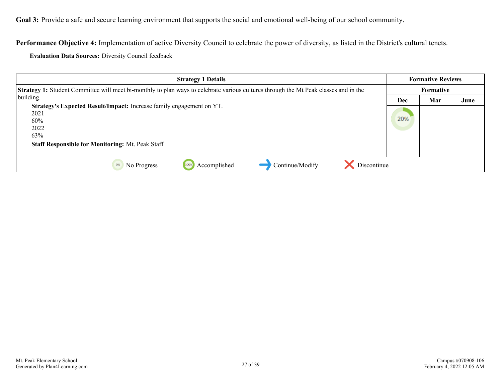**Performance Objective 4:** Implementation of active Diversity Council to celebrate the power of diversity, as listed in the District's cultural tenets.

**Evaluation Data Sources:** Diversity Council feedback

| <b>Strategy 1 Details</b>                                                                                                                                     |           | <b>Formative Reviews</b> |      |
|---------------------------------------------------------------------------------------------------------------------------------------------------------------|-----------|--------------------------|------|
| Strategy 1: Student Committee will meet bi-monthly to plan ways to celebrate various cultures through the Mt Peak classes and in the                          | Formative |                          |      |
| building.                                                                                                                                                     | Dec       | Mar                      | June |
| Strategy's Expected Result/Impact: Increase family engagement on YT.<br>2021<br>60%<br>2022<br>63%<br><b>Staff Responsible for Monitoring: Mt. Peak Staff</b> |           |                          |      |
| Accomplished<br>Continue/Modify<br>Discontinue<br>No Progress<br>100%                                                                                         |           |                          |      |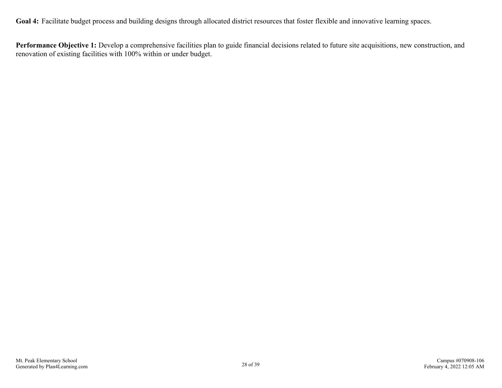<span id="page-27-0"></span>Goal 4: Facilitate budget process and building designs through allocated district resources that foster flexible and innovative learning spaces.

**Performance Objective 1:** Develop a comprehensive facilities plan to guide financial decisions related to future site acquisitions, new construction, and renovation of existing facilities with 100% within or under budget.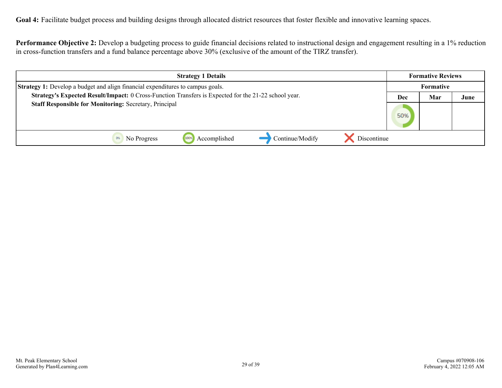**Goal 4:** Facilitate budget process and building designs through allocated district resources that foster flexible and innovative learning spaces.

**Performance Objective 2:** Develop a budgeting process to guide financial decisions related to instructional design and engagement resulting in a 1% reduction in cross-function transfers and a fund balance percentage above 30% (exclusive of the amount of the TIRZ transfer).

| <b>Strategy 1 Details</b>                                                                            | <b>Formative Reviews</b> |  |      |
|------------------------------------------------------------------------------------------------------|--------------------------|--|------|
| <b>Strategy 1:</b> Develop a budget and align financial expenditures to campus goals.                | <b>Formative</b>         |  |      |
| Strategy's Expected Result/Impact: 0 Cross-Function Transfers is Expected for the 21-22 school year. | Mar<br>Dec               |  | June |
| <b>Staff Responsible for Monitoring: Secretary, Principal</b>                                        |                          |  |      |
| Continue/Modify<br>Accomplished<br>Discontinue<br>1009<br>No Progress                                |                          |  |      |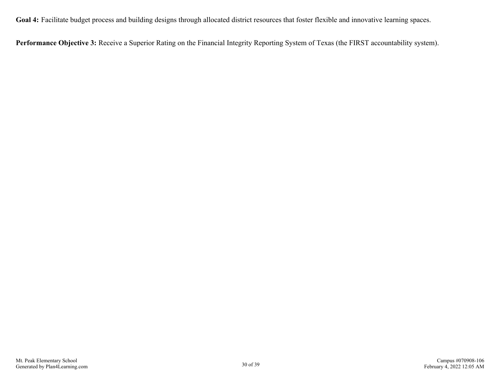**Goal 4:** Facilitate budget process and building designs through allocated district resources that foster flexible and innovative learning spaces.

**Performance Objective 3:** Receive a Superior Rating on the Financial Integrity Reporting System of Texas (the FIRST accountability system).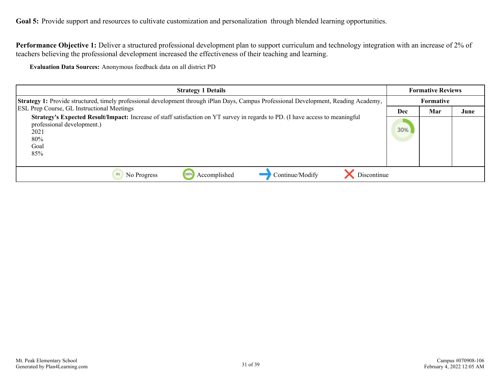<span id="page-30-0"></span>Goal 5: Provide support and resources to cultivate customization and personalization through blended learning opportunities.

**Performance Objective 1:** Deliver a structured professional development plan to support curriculum and technology integration with an increase of 2% of teachers believing the professional development increased the effectiveness of their teaching and learning.

**Evaluation Data Sources:** Anonymous feedback data on all district PD

| <b>Strategy 1 Details</b>                                                                                                                                                                  |  | <b>Formative Reviews</b> |      |
|--------------------------------------------------------------------------------------------------------------------------------------------------------------------------------------------|--|--------------------------|------|
| Strategy 1: Provide structured, timely professional development through iPlan Days, Campus Professional Development, Reading Academy,<br><b>ESL Prep Course, GL Instructional Meetings</b> |  | Formative                |      |
|                                                                                                                                                                                            |  | Mar                      | June |
| Strategy's Expected Result/Impact: Increase of staff satisfaction on YT survey in regards to PD. (I have access to meaningful<br>professional development.)<br>2021<br>80%<br>Goal<br>85%  |  |                          |      |
| Discontinue<br>Accomplished<br>Continue/Modify<br>No Progress<br>100%                                                                                                                      |  |                          |      |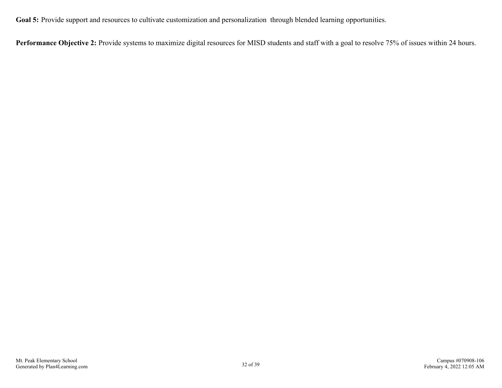Goal 5: Provide support and resources to cultivate customization and personalization through blended learning opportunities.

Performance Objective 2: Provide systems to maximize digital resources for MISD students and staff with a goal to resolve 75% of issues within 24 hours.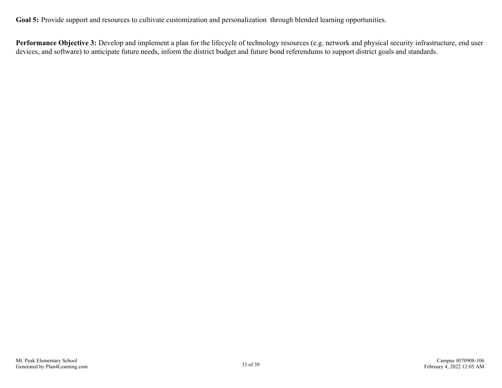Goal 5: Provide support and resources to cultivate customization and personalization through blended learning opportunities.

Performance Objective 3: Develop and implement a plan for the lifecycle of technology resources (e.g. network and physical security infrastructure, end user devices, and software) to anticipate future needs, inform the district budget and future bond referendums to support district goals and standards.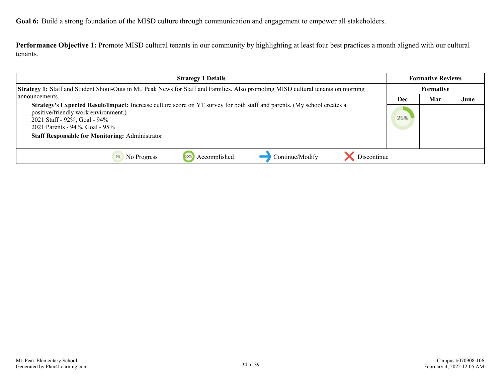<span id="page-33-0"></span>**Goal 6:** Build a strong foundation of the MISD culture through communication and engagement to empower all stakeholders.

**Performance Objective 1:** Promote MISD cultural tenants in our community by highlighting at least four best practices a month aligned with our cultural tenants.

| <b>Strategy 1 Details</b>                                                                                                                                                                                                                                                                          |  | <b>Formative Reviews</b> |      |
|----------------------------------------------------------------------------------------------------------------------------------------------------------------------------------------------------------------------------------------------------------------------------------------------------|--|--------------------------|------|
| Strategy 1: Staff and Student Shout-Outs in Mt. Peak News for Staff and Families. Also promoting MISD cultural tenants on morning                                                                                                                                                                  |  | Formative                |      |
| announcements.                                                                                                                                                                                                                                                                                     |  | Mar                      | June |
| <b>Strategy's Expected Result/Impact:</b> Increase culture score on YT survey for both staff and parents. (My school creates a<br>positive/friendly work environment.)<br>2021 Staff - 92%, Goal - 94%<br>2021 Parents - 94%, Goal - 95%<br><b>Staff Responsible for Monitoring: Administrator</b> |  |                          |      |
| Continue/Modify<br>Discontinue<br>Accomplished<br>No Progress                                                                                                                                                                                                                                      |  |                          |      |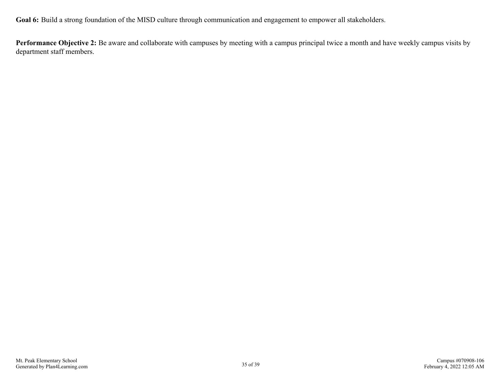**Goal 6:** Build a strong foundation of the MISD culture through communication and engagement to empower all stakeholders.

**Performance Objective 2:** Be aware and collaborate with campuses by meeting with a campus principal twice a month and have weekly campus visits by department staff members.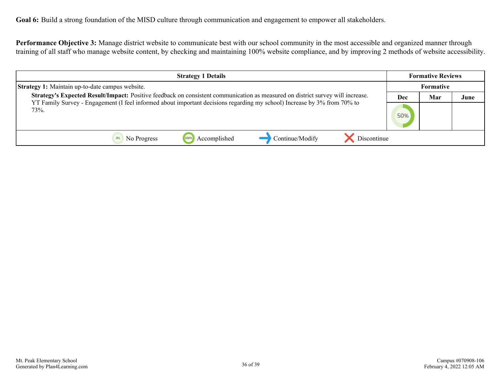**Performance Objective 3:** Manage district website to communicate best with our school community in the most accessible and organized manner through training of all staff who manage website content, by checking and maintaining 100% website compliance, and by improving 2 methods of website accessibility.

| <b>Strategy 1 Details</b>                                                                                                                                                                                                                                                                                                    |  | <b>Formative Reviews</b> |      |
|------------------------------------------------------------------------------------------------------------------------------------------------------------------------------------------------------------------------------------------------------------------------------------------------------------------------------|--|--------------------------|------|
| <b>Strategy 1:</b> Maintain up-to-date campus website.<br>Strategy's Expected Result/Impact: Positive feedback on consistent communication as measured on district survey will increase.<br>YT Family Survey - Engagement (I feel informed about important decisions regarding my school) Increase by 3% from 70% to<br>73%. |  | Formative                |      |
|                                                                                                                                                                                                                                                                                                                              |  | Mar                      | June |
|                                                                                                                                                                                                                                                                                                                              |  |                          |      |
| Continue/Modify<br>Discontinue<br>Accomplished<br>1009<br>No Progress                                                                                                                                                                                                                                                        |  |                          |      |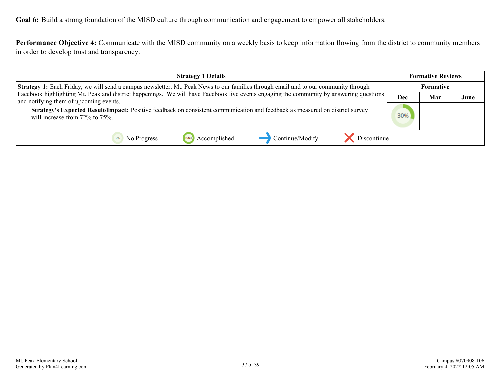**Goal 6:** Build a strong foundation of the MISD culture through communication and engagement to empower all stakeholders.

**Performance Objective 4:** Communicate with the MISD community on a weekly basis to keep information flowing from the district to community members in order to develop trust and transparency.

| <b>Strategy 1 Details</b>                                                                                                                                                         |     | <b>Formative Reviews</b> |      |
|-----------------------------------------------------------------------------------------------------------------------------------------------------------------------------------|-----|--------------------------|------|
| <b>Strategy 1:</b> Each Friday, we will send a campus newsletter, Mt. Peak News to our families through email and to our community through                                        |     | <b>Formative</b>         |      |
| Facebook highlighting Mt. Peak and district happenings. We will have Facebook live events engaging the community by answering questions<br>and notifying them of upcoming events. | Dec | Mar                      | June |
| Strategy's Expected Result/Impact: Positive feedback on consistent communication and feedback as measured on district survey<br>will increase from 72% to 75%.                    |     |                          |      |
| Discontinue<br>Continue/Modify<br>Accomplished<br>No Progress                                                                                                                     |     |                          |      |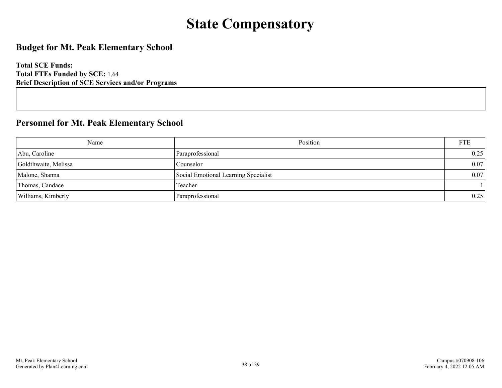# **State Compensatory**

### <span id="page-37-0"></span>**Budget for Mt. Peak Elementary School**

**Total SCE Funds: Total FTEs Funded by SCE:** 1.64 **Brief Description of SCE Services and/or Programs**

### **Personnel for Mt. Peak Elementary School**

| Name                 | Position                             | <b>FTE</b> |
|----------------------|--------------------------------------|------------|
| Abu, Caroline        | Paraprofessional                     | 0.25       |
| Goldthwaite, Melissa | Counselor                            | 0.07       |
| Malone, Shanna       | Social Emotional Learning Specialist | 0.07       |
| Thomas, Candace      | Teacher                              |            |
| Williams, Kimberly   | Paraprofessional                     | 0.25       |